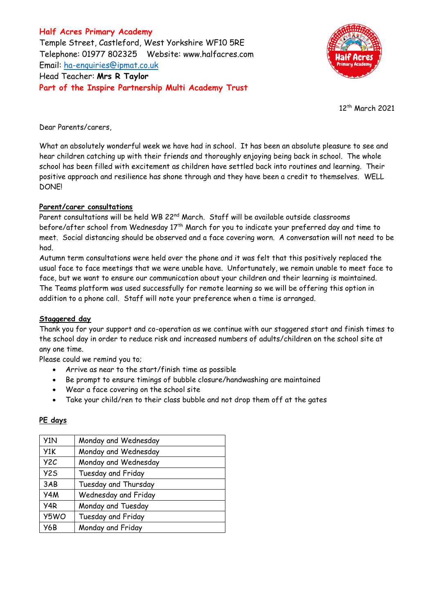**Half Acres Primary Academy** Temple Street, Castleford, West Yorkshire WF10 5RE Telephone: 01977 802325 Website: [www.halfacres.com](http://www.halfacres.com/) Email: [ha-enquiries@ipmat.co.uk](mailto:ha-enquiries@ipmat.co.uk) Head Teacher: **Mrs R Taylor Part of the Inspire Partnership Multi Academy Trust**



12th March 2021

Dear Parents/carers,

What an absolutely wonderful week we have had in school. It has been an absolute pleasure to see and hear children catching up with their friends and thoroughly enjoying being back in school. The whole school has been filled with excitement as children have settled back into routines and learning. Their positive approach and resilience has shone through and they have been a credit to themselves. WELL DONE!

## **Parent/carer consultations**

Parent consultations will be held WB 22<sup>nd</sup> March. Staff will be available outside classrooms before/after school from Wednesday 17<sup>th</sup> March for you to indicate your preferred day and time to meet. Social distancing should be observed and a face covering worn. A conversation will not need to be had.

Autumn term consultations were held over the phone and it was felt that this positively replaced the usual face to face meetings that we were unable have. Unfortunately, we remain unable to meet face to face, but we want to ensure our communication about your children and their learning is maintained. The Teams platform was used successfully for remote learning so we will be offering this option in addition to a phone call. Staff will note your preference when a time is arranged.

## **Staggered day**

Thank you for your support and co-operation as we continue with our staggered start and finish times to the school day in order to reduce risk and increased numbers of adults/children on the school site at any one time.

Please could we remind you to;

- Arrive as near to the start/finish time as possible
- Be prompt to ensure timings of bubble closure/handwashing are maintained
- Wear a face covering on the school site
- Take your child/ren to their class bubble and not drop them off at the gates

## **PE days**

| Y1N              | Monday and Wednesday |
|------------------|----------------------|
| Y1K              | Monday and Wednesday |
| Y <sub>2</sub> C | Monday and Wednesday |
| Y <sub>2</sub> S | Tuesday and Friday   |
| 3AB              | Tuesday and Thursday |
| Y4M              | Wednesday and Friday |
| Y4R              | Monday and Tuesday   |
| Y5WO             | Tuesday and Friday   |
| Y6B              | Monday and Friday    |